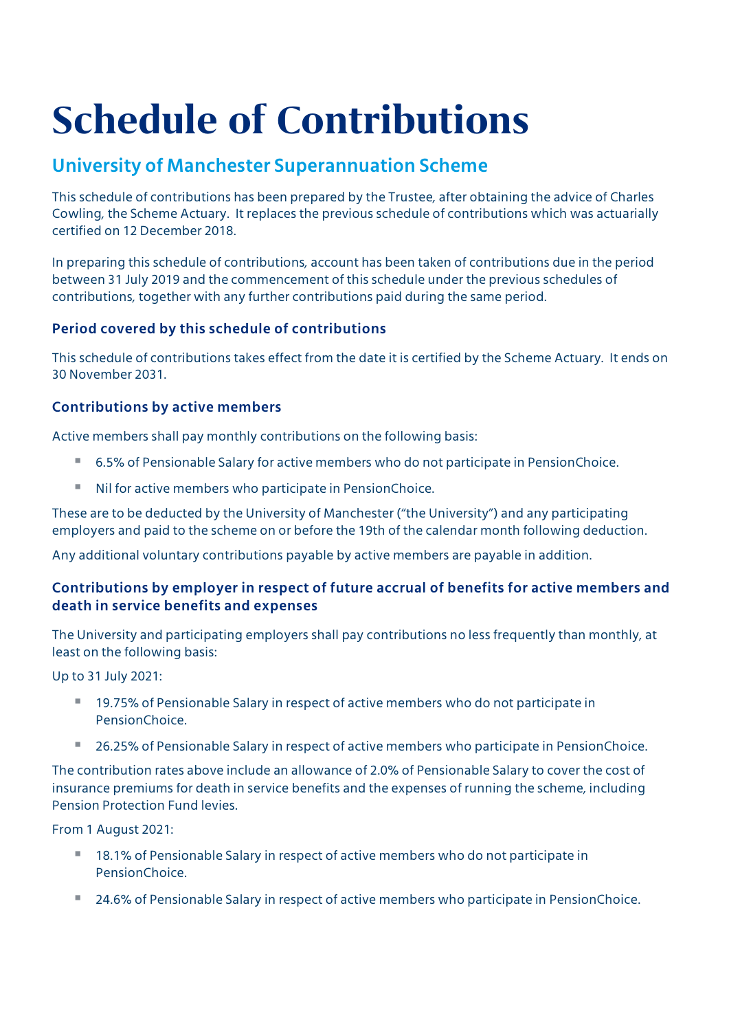# Schedule of Contributions

# University of Manchester Superannuation Scheme

This schedule of contributions has been prepared by the Trustee, after obtaining the advice of Charles Cowling, the Scheme Actuary. It replaces the previous schedule of contributions which was actuarially certified on 12 December 2018.

In preparing this schedule of contributions, account has been taken of contributions due in the period between 31 July 2019 and the commencement of this schedule under the previous schedules of contributions, together with any further contributions paid during the same period.

## Period covered by this schedule of contributions

This schedule of contributions takes effect from the date it is certified by the Scheme Actuary. It ends on 30 November 2031.

## Contributions by active members

Active members shall pay monthly contributions on the following basis:

- 6.5% of Pensionable Salary for active members who do not participate in PensionChoice.
- Nil for active members who participate in PensionChoice.

These are to be deducted by the University of Manchester ("the University") and any participating employers and paid to the scheme on or before the 19th of the calendar month following deduction.

Any additional voluntary contributions payable by active members are payable in addition.

## Contributions by employer in respect of future accrual of benefits for active members and death in service benefits and expenses

The University and participating employers shall pay contributions no less frequently than monthly, at least on the following basis:

Up to 31 July 2021:

- 19.75% of Pensionable Salary in respect of active members who do not participate in PensionChoice.
- 26.25% of Pensionable Salary in respect of active members who participate in PensionChoice.

The contribution rates above include an allowance of 2.0% of Pensionable Salary to cover the cost of insurance premiums for death in service benefits and the expenses of running the scheme, including Pension Protection Fund levies.

From 1 August 2021:

- 18.1% of Pensionable Salary in respect of active members who do not participate in PensionChoice.
- 24.6% of Pensionable Salary in respect of active members who participate in PensionChoice.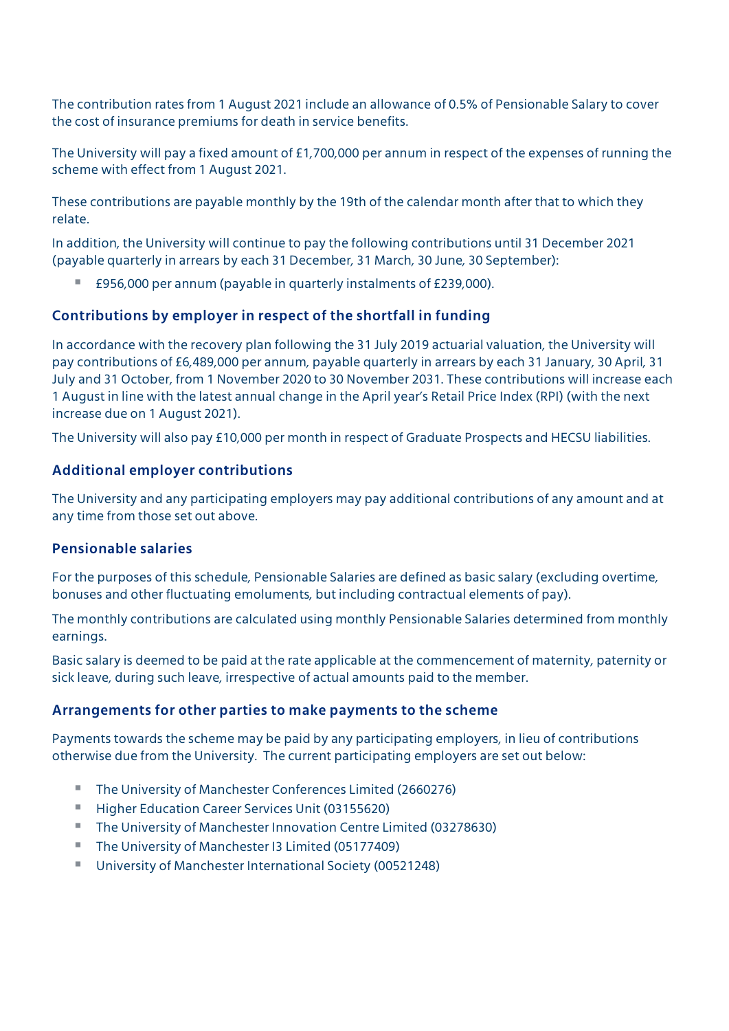The contribution rates from 1 August 2021 include an allowance of 0.5% of Pensionable Salary to cover the cost of insurance premiums for death in service benefits.

The University will pay a fixed amount of £1,700,000 per annum in respect of the expenses of running the scheme with effect from 1 August 2021.

These contributions are payable monthly by the 19th of the calendar month after that to which they relate.

In addition, the University will continue to pay the following contributions until 31 December 2021 (payable quarterly in arrears by each 31 December, 31 March, 30 June, 30 September):

£956,000 per annum (payable in quarterly instalments of £239,000).

#### Contributions by employer in respect of the shortfall in funding

In accordance with the recovery plan following the 31 July 2019 actuarial valuation, the University will pay contributions of £6,489,000 per annum, payable quarterly in arrears by each 31 January, 30 April, 31 July and 31 October, from 1 November 2020 to 30 November 2031. These contributions will increase each 1 August in line with the latest annual change in the April year's Retail Price Index (RPI) (with the next increase due on 1 August 2021).

The University will also pay £10,000 per month in respect of Graduate Prospects and HECSU liabilities.

#### Additional employer contributions

The University and any participating employers may pay additional contributions of any amount and at any time from those set out above.

#### Pensionable salaries

For the purposes of this schedule, Pensionable Salaries are defined as basic salary (excluding overtime, bonuses and other fluctuating emoluments, but including contractual elements of pay).

The monthly contributions are calculated using monthly Pensionable Salaries determined from monthly earnings.

Basic salary is deemed to be paid at the rate applicable at the commencement of maternity, paternity or sick leave, during such leave, irrespective of actual amounts paid to the member.

#### Arrangements for other parties to make payments to the scheme

Payments towards the scheme may be paid by any participating employers, in lieu of contributions otherwise due from the University. The current participating employers are set out below:

- The University of Manchester Conferences Limited (2660276)
- **Higher Education Career Services Unit (03155620)**
- The University of Manchester Innovation Centre Limited (03278630)
- The University of Manchester I3 Limited (05177409)
- University of Manchester International Society (00521248)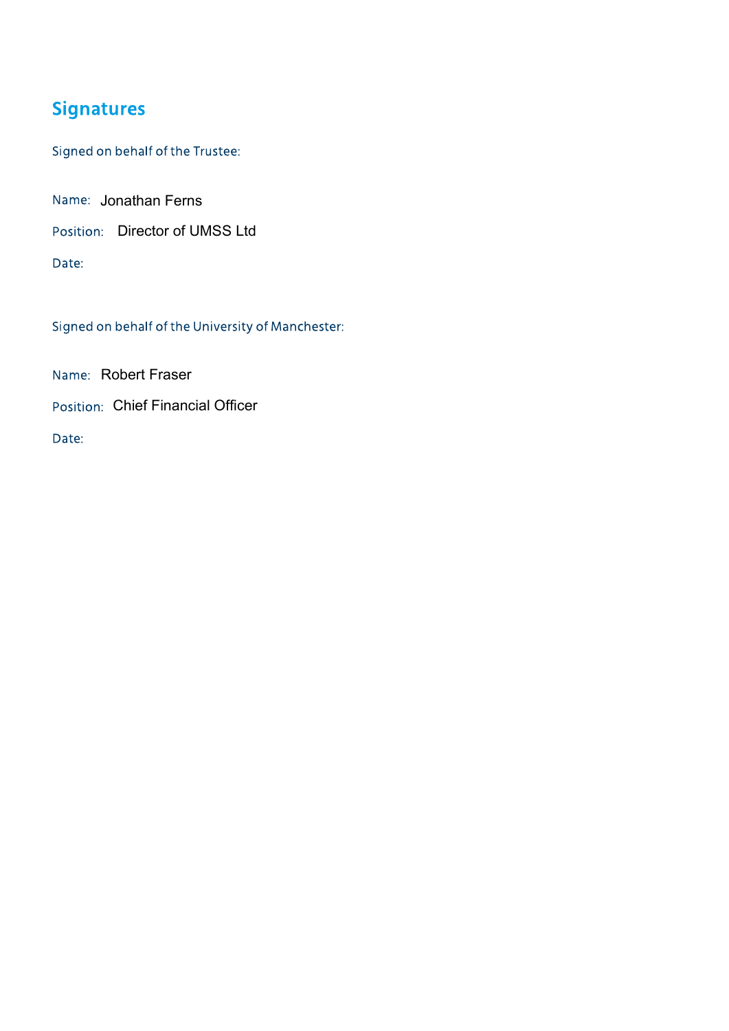# **Signatures**

Signed on behalf of the Trustee:

Name: Jonathan Ferns

Position: Director of UMSS Ltd

Date:

Signed on behalf of the University of Manchester:

Name: Robert Fraser

Position: Chief Financial Officer

Date: